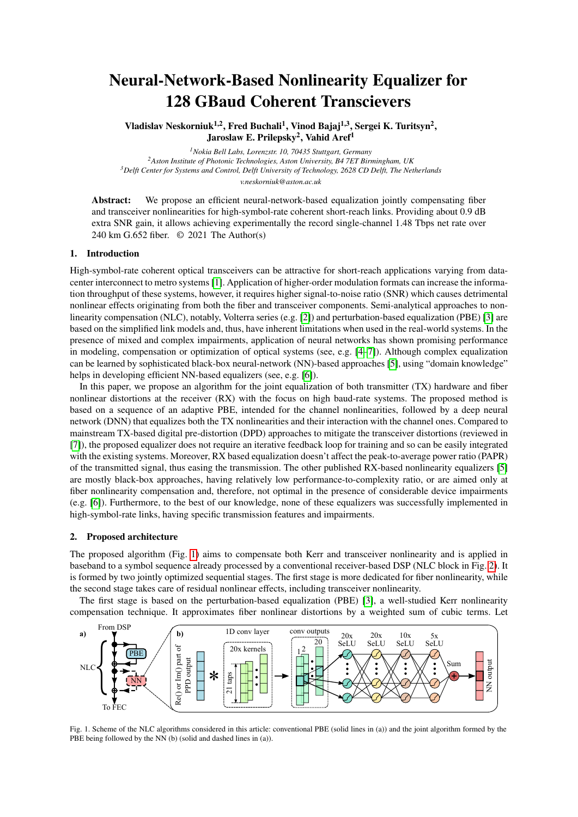# Neural-Network-Based Nonlinearity Equalizer for 128 GBaud Coherent Transcievers

Vladislav Neskorniuk<sup>1,2</sup>, Fred Buchali<sup>1</sup>, Vinod Bajaj<sup>1,3</sup>, Sergei K. Turitsyn<sup>2</sup>, Jaroslaw E. Prilepsky<sup>2</sup>, Vahid Aref<sup>1</sup>

*Nokia Bell Labs, Lorenzstr. 10, 70435 Stuttgart, Germany Aston Institute of Photonic Technologies, Aston University, B4 7ET Birmingham, UK Delft Center for Systems and Control, Delft University of Technology, 2628 CD Delft, The Netherlands v.neskorniuk@aston.ac.uk*

Abstract: We propose an efficient neural-network-based equalization jointly compensating fiber and transceiver nonlinearities for high-symbol-rate coherent short-reach links. Providing about 0.9 dB extra SNR gain, it allows achieving experimentally the record single-channel 1.48 Tbps net rate over 240 km G.652 fiber. © 2021 The Author(s)

### 1. Introduction

High-symbol-rate coherent optical transceivers can be attractive for short-reach applications varying from datacenter interconnect to metro systems [\[1\]](#page-2-0). Application of higher-order modulation formats can increase the information throughput of these systems, however, it requires higher signal-to-noise ratio (SNR) which causes detrimental nonlinear effects originating from both the fiber and transceiver components. Semi-analytical approaches to nonlinearity compensation (NLC), notably, Volterra series (e.g. [\[2\]](#page-2-1)) and perturbation-based equalization (PBE) [\[3\]](#page-2-2) are based on the simplified link models and, thus, have inherent limitations when used in the real-world systems. In the presence of mixed and complex impairments, application of neural networks has shown promising performance in modeling, compensation or optimization of optical systems (see, e.g. [\[4](#page-2-3)[–7\]](#page-2-4)). Although complex equalization can be learned by sophisticated black-box neural-network (NN)-based approaches [\[5\]](#page-2-5), using "domain knowledge" helps in developing efficient NN-based equalizers (see, e.g. [\[6\]](#page-2-6)).

In this paper, we propose an algorithm for the joint equalization of both transmitter (TX) hardware and fiber nonlinear distortions at the receiver (RX) with the focus on high baud-rate systems. The proposed method is based on a sequence of an adaptive PBE, intended for the channel nonlinearities, followed by a deep neural network (DNN) that equalizes both the TX nonlinearities and their interaction with the channel ones. Compared to mainstream TX-based digital pre-distortion (DPD) approaches to mitigate the transceiver distortions (reviewed in [\[7\]](#page-2-4)), the proposed equalizer does not require an iterative feedback loop for training and so can be easily integrated with the existing systems. Moreover, RX based equalization doesn't affect the peak-to-average power ratio (PAPR) of the transmitted signal, thus easing the transmission. The other published RX-based nonlinearity equalizers [\[5\]](#page-2-5) are mostly black-box approaches, having relatively low performance-to-complexity ratio, or are aimed only at fiber nonlinearity compensation and, therefore, not optimal in the presence of considerable device impairments (e.g. [\[6\]](#page-2-6)). Furthermore, to the best of our knowledge, none of these equalizers was successfully implemented in high-symbol-rate links, having specific transmission features and impairments.

## 2. Proposed architecture

The proposed algorithm (Fig. [1\)](#page-0-0) aims to compensate both Kerr and transceiver nonlinearity and is applied in baseband to a symbol sequence already processed by a conventional receiver-based DSP (NLC block in Fig. [2\)](#page-1-0). It is formed by two jointly optimized sequential stages. The first stage is more dedicated for fiber nonlinearity, while the second stage takes care of residual nonlinear effects, including transceiver nonlinearity.

The first stage is based on the perturbation-based equalization (PBE) [\[3\]](#page-2-2), a well-studied Kerr nonlinearity compensation technique. It approximates fiber nonlinear distortions by a weighted sum of cubic terms. Let



<span id="page-0-0"></span>Fig. 1. Scheme of the NLC algorithms considered in this article: conventional PBE (solid lines in (a)) and the joint algorithm formed by the PBE being followed by the NN (b) (solid and dashed lines in (a)).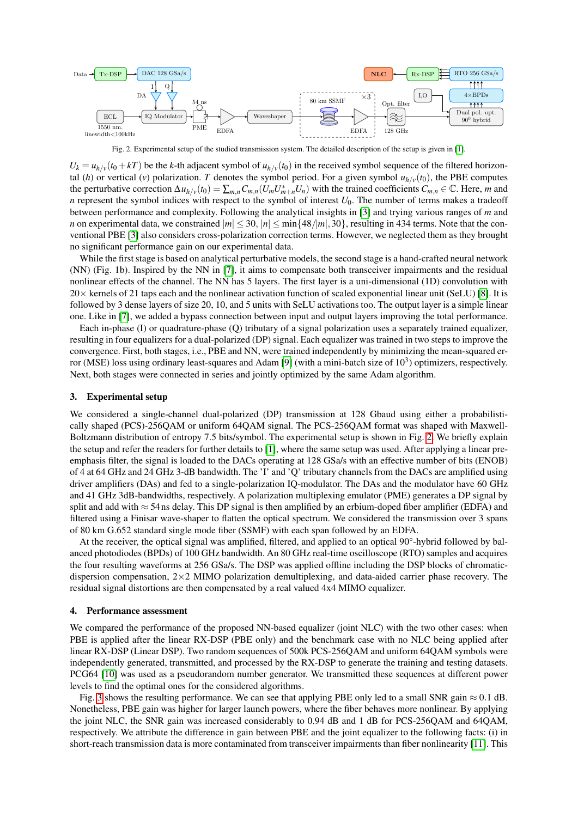

<span id="page-1-0"></span>Fig. 2. Experimental setup of the studied transmission system. The detailed description of the setup is given in [\[1\]](#page-2-0).

 $U_k = u_{h/v} (t_0 + kT)$  be the *k*-th adjacent symbol of  $u_{h/v} (t_0)$  in the received symbol sequence of the filtered horizontal (*h*) or vertical (*v*) polarization. *T* denotes the symbol period. For a given symbol  $u_{h/v}(t_0)$ , the PBE computes the perturbative correction  $\Delta u_{h/v}(t_0) = \sum_{m,n} C_{m,n}(U_m U_{m+n}^* U_n)$  with the trained coefficients  $C_{m,n} \in \mathbb{C}$ . Here, m and *n* represent the symbol indices with respect to the symbol of interest  $U_0$ . The number of terms makes a tradeoff between performance and complexity. Following the analytical insights in [\[3\]](#page-2-2) and trying various ranges of *m* and *n* on experimental data, we constrained  $|m| \leq 30$ ,  $|n| \leq min\{48/|m|, 30\}$ , resulting in 434 terms. Note that the conventional PBE [\[3\]](#page-2-2) also considers cross-polarization correction terms. However, we neglected them as they brought no significant performance gain on our experimental data.

While the first stage is based on analytical perturbative models, the second stage is a hand-crafted neural network (NN) (Fig. 1b). Inspired by the NN in [\[7\]](#page-2-4), it aims to compensate both transceiver impairments and the residual nonlinear effects of the channel. The NN has 5 layers. The first layer is a uni-dimensional (1D) convolution with  $20\times$  kernels of 21 taps each and the nonlinear activation function of scaled exponential linear unit (SeLU) [\[8\]](#page-2-7). It is followed by 3 dense layers of size 20, 10, and 5 units with SeLU activations too. The output layer is a simple linear one. Like in [\[7\]](#page-2-4), we added a bypass connection between input and output layers improving the total performance.

Each in-phase (I) or quadrature-phase (Q) tributary of a signal polarization uses a separately trained equalizer, resulting in four equalizers for a dual-polarized (DP) signal. Each equalizer was trained in two steps to improve the convergence. First, both stages, i.e., PBE and NN, were trained independently by minimizing the mean-squared er-ror (MSE) loss using ordinary least-squares and Adam [\[9\]](#page-2-8) (with a mini-batch size of 10<sup>3</sup>) optimizers, respectively. Next, both stages were connected in series and jointly optimized by the same Adam algorithm.

#### 3. Experimental setup

We considered a single-channel dual-polarized (DP) transmission at 128 Gbaud using either a probabilistically shaped (PCS)-256QAM or uniform 64QAM signal. The PCS-256QAM format was shaped with Maxwell-Boltzmann distribution of entropy 7.5 bits/symbol. The experimental setup is shown in Fig. [2.](#page-1-0) We briefly explain the setup and refer the readers for further details to [\[1\]](#page-2-0), where the same setup was used. After applying a linear preemphasis filter, the signal is loaded to the DACs operating at 128 GSa/s with an effective number of bits (ENOB) of 4 at 64 GHz and 24 GHz 3-dB bandwidth. The 'I' and 'Q' tributary channels from the DACs are amplified using driver amplifiers (DAs) and fed to a single-polarization IQ-modulator. The DAs and the modulator have 60 GHz and 41 GHz 3dB-bandwidths, respectively. A polarization multiplexing emulator (PME) generates a DP signal by split and add with  $\approx$  54 ns delay. This DP signal is then amplified by an erbium-doped fiber amplifier (EDFA) and filtered using a Finisar wave-shaper to flatten the optical spectrum. We considered the transmission over 3 spans of 80 km G.652 standard single mode fiber (SSMF) with each span followed by an EDFA.

At the receiver, the optical signal was amplified, filtered, and applied to an optical 90°-hybrid followed by balanced photodiodes (BPDs) of 100 GHz bandwidth. An 80 GHz real-time oscilloscope (RTO) samples and acquires the four resulting waveforms at 256 GSa/s. The DSP was applied offline including the DSP blocks of chromaticdispersion compensation,  $2\times2$  MIMO polarization demultiplexing, and data-aided carrier phase recovery. The residual signal distortions are then compensated by a real valued 4x4 MIMO equalizer.

#### 4. Performance assessment

We compared the performance of the proposed NN-based equalizer (joint NLC) with the two other cases: when PBE is applied after the linear RX-DSP (PBE only) and the benchmark case with no NLC being applied after linear RX-DSP (Linear DSP). Two random sequences of 500k PCS-256QAM and uniform 64QAM symbols were independently generated, transmitted, and processed by the RX-DSP to generate the training and testing datasets. PCG64 [\[10\]](#page-2-9) was used as a pseudorandom number generator. We transmitted these sequences at different power levels to find the optimal ones for the considered algorithms.

Fig. [3](#page-2-10) shows the resulting performance. We can see that applying PBE only led to a small SNR gain  $\approx 0.1$  dB. Nonetheless, PBE gain was higher for larger launch powers, where the fiber behaves more nonlinear. By applying the joint NLC, the SNR gain was increased considerably to 0.94 dB and 1 dB for PCS-256QAM and 64QAM, respectively. We attribute the difference in gain between PBE and the joint equalizer to the following facts: (i) in short-reach transmission data is more contaminated from transceiver impairments than fiber nonlinearity [\[11\]](#page-2-11). This